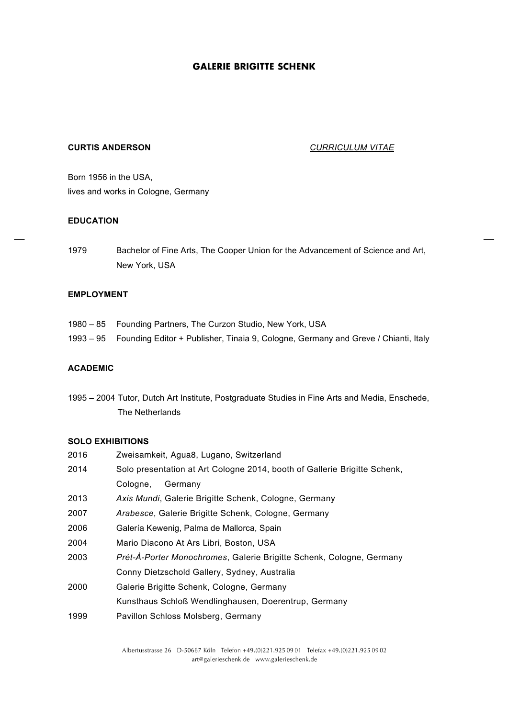# **CURTIS ANDERSON** *CURRICULUM VITAE*

Born 1956 in the USA, lives and works in Cologne, Germany

#### **EDUCATION**

1979 Bachelor of Fine Arts, The Cooper Union for the Advancement of Science and Art, New York, USA

### **EMPLOYMENT**

- 1980 85 Founding Partners, The Curzon Studio, New York, USA
- 1993 95 Founding Editor + Publisher, Tinaia 9, Cologne, Germany and Greve / Chianti, Italy

## **ACADEMIC**

1995 – 2004 Tutor, Dutch Art Institute, Postgraduate Studies in Fine Arts and Media, Enschede, The Netherlands

#### **SOLO EXHIBITIONS**

| 2016 | Zweisamkeit, Agua8, Lugano, Switzerland                                   |
|------|---------------------------------------------------------------------------|
| 2014 | Solo presentation at Art Cologne 2014, booth of Gallerie Brigitte Schenk, |
|      | Germany<br>Cologne,                                                       |
| 2013 | Axis Mundi, Galerie Brigitte Schenk, Cologne, Germany                     |
| 2007 | Arabesce, Galerie Brigitte Schenk, Cologne, Germany                       |
| 2006 | Galería Kewenig, Palma de Mallorca, Spain                                 |
| 2004 | Mario Diacono At Ars Libri, Boston, USA                                   |
| 2003 | Prét-À-Porter Monochromes, Galerie Brigitte Schenk, Cologne, Germany      |
|      | Conny Dietzschold Gallery, Sydney, Australia                              |
| 2000 | Galerie Brigitte Schenk, Cologne, Germany                                 |
|      | Kunsthaus Schloß Wendlinghausen, Doerentrup, Germany                      |
| 1999 | Pavillon Schloss Molsberg, Germany                                        |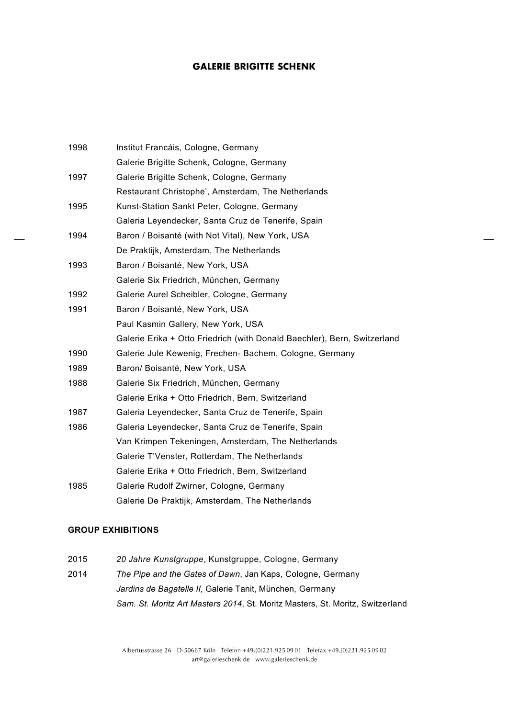| 1998 | Institut Francáis, Cologne, Germany                                      |
|------|--------------------------------------------------------------------------|
|      | Galerie Brigitte Schenk, Cologne, Germany                                |
| 1997 | Galerie Brigitte Schenk, Cologne, Germany                                |
|      | Restaurant Christophe', Amsterdam, The Netherlands                       |
| 1995 | Kunst-Station Sankt Peter, Cologne, Germany                              |
|      | Galeria Leyendecker, Santa Cruz de Tenerife, Spain                       |
| 1994 | Baron / Boisanté (with Not Vital), New York, USA                         |
|      | De Praktijk, Amsterdam, The Netherlands                                  |
| 1993 | Baron / Boisanté, New York, USA                                          |
|      | Galerie Six Friedrich, München, Germany                                  |
| 1992 | Galerie Aurel Scheibler, Cologne, Germany                                |
| 1991 | Baron / Boisanté, New York, USA                                          |
|      | Paul Kasmin Gallery, New York, USA                                       |
|      | Galerie Erika + Otto Friedrich (with Donald Baechler), Bern, Switzerland |
| 1990 | Galerie Jule Kewenig, Frechen- Bachem, Cologne, Germany                  |
| 1989 | Baron/ Boisanté, New York, USA                                           |
| 1988 | Galerie Six Friedrich, München, Germany                                  |
|      | Galerie Erika + Otto Friedrich, Bern, Switzerland                        |
| 1987 | Galeria Leyendecker, Santa Cruz de Tenerife, Spain                       |
| 1986 | Galeria Leyendecker, Santa Cruz de Tenerife, Spain                       |
|      | Van Krimpen Tekeningen, Amsterdam, The Netherlands                       |
|      | Galerie T'Venster, Rotterdam, The Netherlands                            |
|      | Galerie Erika + Otto Friedrich, Bern, Switzerland                        |
| 1985 | Galerie Rudolf Zwirner, Cologne, Germany                                 |
|      | Galerie De Praktijk, Amsterdam, The Netherlands                          |

### **GROUP EXHIBITIONS**

- 2015 *20 Jahre Kunstgruppe*, Kunstgruppe, Cologne, Germany
- 2014 *The Pipe and the Gates of Dawn*, Jan Kaps, Cologne, Germany *Jardins de Bagatelle II,* Galerie Tanit, München, Germany *Sam. St. Moritz Art Masters 2014*, St. Moritz Masters, St. Moritz, Switzerland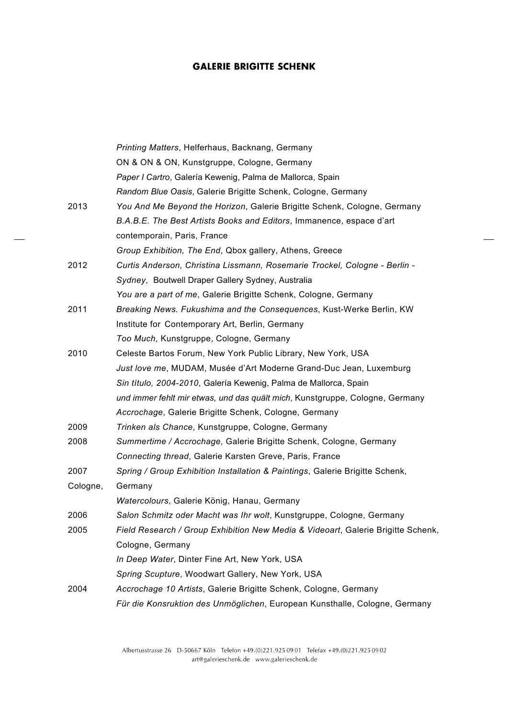|          | Printing Matters, Helferhaus, Backnang, Germany                                  |
|----------|----------------------------------------------------------------------------------|
|          | ON & ON & ON, Kunstgruppe, Cologne, Germany                                      |
|          | Paper I Cartro, Galería Kewenig, Palma de Mallorca, Spain                        |
|          | Random Blue Oasis, Galerie Brigitte Schenk, Cologne, Germany                     |
| 2013     | You And Me Beyond the Horizon, Galerie Brigitte Schenk, Cologne, Germany         |
|          | B.A.B.E. The Best Artists Books and Editors, Immanence, espace d'art             |
|          | contemporain, Paris, France                                                      |
|          | Group Exhibition, The End, Qbox gallery, Athens, Greece                          |
| 2012     | Curtis Anderson, Christina Lissmann, Rosemarie Trockel, Cologne - Berlin -       |
|          | Sydney, Boutwell Draper Gallery Sydney, Australia                                |
|          | You are a part of me, Galerie Brigitte Schenk, Cologne, Germany                  |
| 2011     | Breaking News. Fukushima and the Consequences, Kust-Werke Berlin, KW             |
|          | Institute for Contemporary Art, Berlin, Germany                                  |
|          | Too Much, Kunstgruppe, Cologne, Germany                                          |
| 2010     | Celeste Bartos Forum, New York Public Library, New York, USA                     |
|          | Just love me, MUDAM, Musée d'Art Moderne Grand-Duc Jean, Luxemburg               |
|          | Sin título, 2004-2010, Galería Kewenig, Palma de Mallorca, Spain                 |
|          | und immer fehlt mir etwas, und das quält mich, Kunstgruppe, Cologne, Germany     |
|          | Accrochage, Galerie Brigitte Schenk, Cologne, Germany                            |
| 2009     | Trinken als Chance, Kunstgruppe, Cologne, Germany                                |
| 2008     | Summertime / Accrochage, Galerie Brigitte Schenk, Cologne, Germany               |
|          | Connecting thread, Galerie Karsten Greve, Paris, France                          |
| 2007     | Spring / Group Exhibition Installation & Paintings, Galerie Brigitte Schenk,     |
| Cologne, | Germany                                                                          |
|          | Watercolours, Galerie König, Hanau, Germany                                      |
| 2006     | Salon Schmitz oder Macht was Ihr wolt, Kunstgruppe, Cologne, Germany             |
| 2005     | Field Research / Group Exhibition New Media & Videoart, Galerie Brigitte Schenk, |
|          | Cologne, Germany                                                                 |
|          | In Deep Water, Dinter Fine Art, New York, USA                                    |
|          | Spring Scupture, Woodwart Gallery, New York, USA                                 |
| 2004     | Accrochage 10 Artists, Galerie Brigitte Schenk, Cologne, Germany                 |
|          | Für die Konsruktion des Unmöglichen, European Kunsthalle, Cologne, Germany       |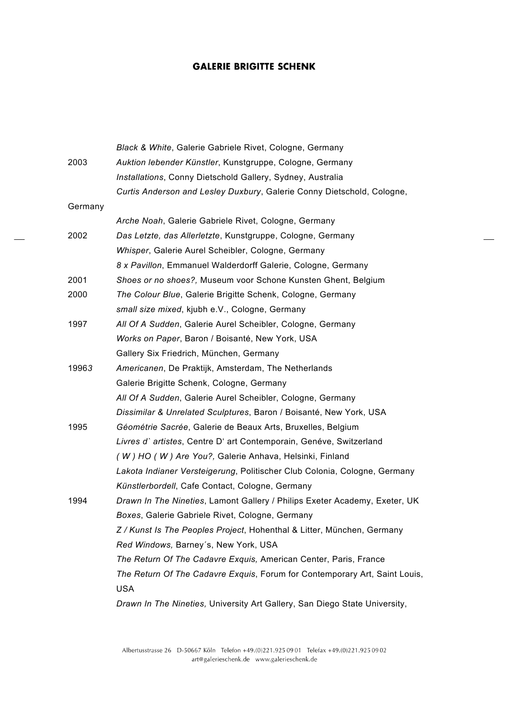$\overline{a}$ 

|         | Black & White, Galerie Gabriele Rivet, Cologne, Germany                    |
|---------|----------------------------------------------------------------------------|
| 2003    | Auktion lebender Künstler, Kunstgruppe, Cologne, Germany                   |
|         | Installations, Conny Dietschold Gallery, Sydney, Australia                 |
|         | Curtis Anderson and Lesley Duxbury, Galerie Conny Dietschold, Cologne,     |
| Germany |                                                                            |
|         | Arche Noah, Galerie Gabriele Rivet, Cologne, Germany                       |
| 2002    | Das Letzte, das Allerletzte, Kunstgruppe, Cologne, Germany                 |
|         | Whisper, Galerie Aurel Scheibler, Cologne, Germany                         |
|         | 8 x Pavillon, Emmanuel Walderdorff Galerie, Cologne, Germany               |
| 2001    | Shoes or no shoes?, Museum voor Schone Kunsten Ghent, Belgium              |
| 2000    | The Colour Blue, Galerie Brigitte Schenk, Cologne, Germany                 |
|         | small size mixed, kjubh e.V., Cologne, Germany                             |
| 1997    | All Of A Sudden, Galerie Aurel Scheibler, Cologne, Germany                 |
|         | Works on Paper, Baron / Boisanté, New York, USA                            |
|         | Gallery Six Friedrich, München, Germany                                    |
| 19963   | Americanen, De Praktijk, Amsterdam, The Netherlands                        |
|         | Galerie Brigitte Schenk, Cologne, Germany                                  |
|         | All Of A Sudden, Galerie Aurel Scheibler, Cologne, Germany                 |
|         | Dissimilar & Unrelated Sculptures, Baron / Boisanté, New York, USA         |
| 1995    | Géométrie Sacrée, Galerie de Beaux Arts, Bruxelles, Belgium                |
|         | Livres d'artistes, Centre D' art Contemporain, Genéve, Switzerland         |
|         | (W) HO (W) Are You?, Galerie Anhava, Helsinki, Finland                     |
|         | Lakota Indianer Versteigerung, Politischer Club Colonia, Cologne, Germany  |
|         | Künstlerbordell, Cafe Contact, Cologne, Germany                            |
| 1994    | Drawn In The Nineties, Lamont Gallery / Philips Exeter Academy, Exeter, UK |
|         | Boxes, Galerie Gabriele Rivet, Cologne, Germany                            |
|         | Z / Kunst Is The Peoples Project, Hohenthal & Litter, München, Germany     |
|         | Red Windows, Barney's, New York, USA                                       |
|         | The Return Of The Cadavre Exquis, American Center, Paris, France           |
|         | The Return Of The Cadavre Exquis, Forum for Contemporary Art, Saint Louis, |
|         | <b>USA</b>                                                                 |
|         | Drawn In The Nineties, University Art Gallery, San Diego State University, |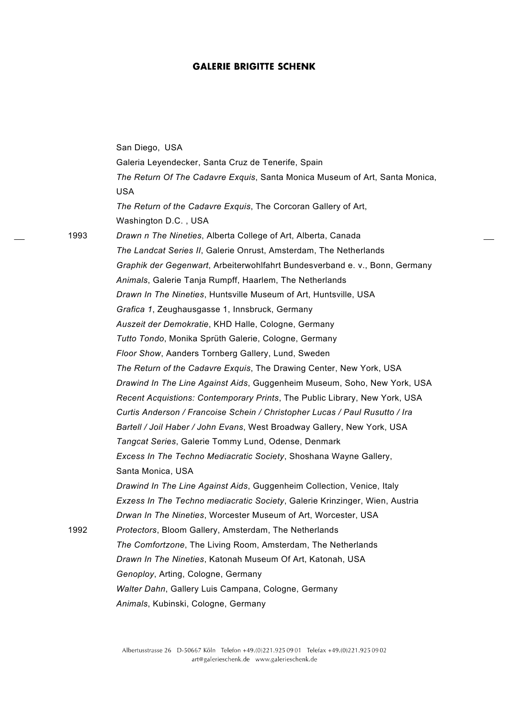San Diego, USA Galeria Leyendecker, Santa Cruz de Tenerife, Spain *The Return Of The Cadavre Exquis*, Santa Monica Museum of Art, Santa Monica, USA *The Return of the Cadavre Exquis*, The Corcoran Gallery of Art, Washington D.C. , USA 1993 *Drawn n The Nineties*, Alberta College of Art, Alberta, Canada *The Landcat Series II*, Galerie Onrust, Amsterdam, The Netherlands *Graphik der Gegenwart*, Arbeiterwohlfahrt Bundesverband e. v., Bonn, Germany *Animals*, Galerie Tanja Rumpff, Haarlem, The Netherlands *Drawn In The Nineties*, Huntsville Museum of Art, Huntsville, USA *Grafica 1*, Zeughausgasse 1, Innsbruck, Germany *Auszeit der Demokratie*, KHD Halle, Cologne, Germany *Tutto Tondo*, Monika Sprüth Galerie, Cologne, Germany *Floor Show*, Aanders Tornberg Gallery, Lund, Sweden *The Return of the Cadavre Exquis*, The Drawing Center, New York, USA *Drawind In The Line Against Aids*, Guggenheim Museum, Soho, New York, USA *Recent Acquistions: Contemporary Prints*, The Public Library, New York, USA *Curtis Anderson / Francoise Schein / Christopher Lucas / Paul Rusutto / Ira Bartell / Joil Haber / John Evans*, West Broadway Gallery, New York, USA *Tangcat Series*, Galerie Tommy Lund, Odense, Denmark *Excess In The Techno Mediacratic Society*, Shoshana Wayne Gallery, Santa Monica, USA *Drawind In The Line Against Aids*, Guggenheim Collection, Venice, Italy *Exzess In The Techno mediacratic Society*, Galerie Krinzinger, Wien, Austria *Drwan In The Nineties*, Worcester Museum of Art, Worcester, USA 1992 *Protectors*, Bloom Gallery, Amsterdam, The Netherlands *The Comfortzone*, The Living Room, Amsterdam, The Netherlands *Drawn In The Nineties*, Katonah Museum Of Art, Katonah, USA *Genoploy*, Arting, Cologne, Germany *Walter Dahn*, Gallery Luis Campana, Cologne, Germany *Animals*, Kubinski, Cologne, Germany

> Albertusstrasse 26 D-50667 Köln Telefon +49.(0)221.925 09 01 Telefax +49.(0)221.925 09 02 art@galerieschenk.de www.galerieschenk.de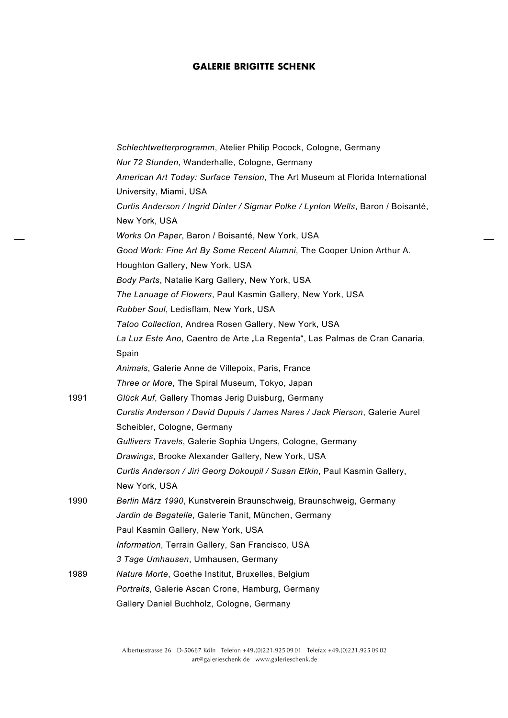|      | Schlechtwetterprogramm, Atelier Philip Pocock, Cologne, Germany                  |
|------|----------------------------------------------------------------------------------|
|      | Nur 72 Stunden, Wanderhalle, Cologne, Germany                                    |
|      | American Art Today: Surface Tension, The Art Museum at Florida International     |
|      | University, Miami, USA                                                           |
|      | Curtis Anderson / Ingrid Dinter / Sigmar Polke / Lynton Wells, Baron / Boisanté, |
|      | New York, USA                                                                    |
|      | Works On Paper, Baron / Boisanté, New York, USA                                  |
|      | Good Work: Fine Art By Some Recent Alumni, The Cooper Union Arthur A.            |
|      | Houghton Gallery, New York, USA                                                  |
|      | Body Parts, Natalie Karg Gallery, New York, USA                                  |
|      | The Lanuage of Flowers, Paul Kasmin Gallery, New York, USA                       |
|      | Rubber Soul, Ledisflam, New York, USA                                            |
|      | Tatoo Collection, Andrea Rosen Gallery, New York, USA                            |
|      | La Luz Este Ano, Caentro de Arte "La Regenta", Las Palmas de Cran Canaria,       |
|      | Spain                                                                            |
|      | Animals, Galerie Anne de Villepoix, Paris, France                                |
|      | Three or More, The Spiral Museum, Tokyo, Japan                                   |
| 1991 | Glück Auf, Gallery Thomas Jerig Duisburg, Germany                                |
|      | Curstis Anderson / David Dupuis / James Nares / Jack Pierson, Galerie Aurel      |
|      | Scheibler, Cologne, Germany                                                      |
|      | Gullivers Travels, Galerie Sophia Ungers, Cologne, Germany                       |
|      | Drawings, Brooke Alexander Gallery, New York, USA                                |
|      | Curtis Anderson / Jiri Georg Dokoupil / Susan Etkin, Paul Kasmin Gallery,        |
|      | New York, USA                                                                    |
| 1990 | Berlin März 1990, Kunstverein Braunschweig, Braunschweig, Germany                |
|      | Jardin de Bagatelle, Galerie Tanit, München, Germany                             |
|      | Paul Kasmin Gallery, New York, USA                                               |
|      | Information, Terrain Gallery, San Francisco, USA                                 |
|      | 3 Tage Umhausen, Umhausen, Germany                                               |
| 1989 | Nature Morte, Goethe Institut, Bruxelles, Belgium                                |
|      | Portraits, Galerie Ascan Crone, Hamburg, Germany                                 |
|      | Gallery Daniel Buchholz, Cologne, Germany                                        |